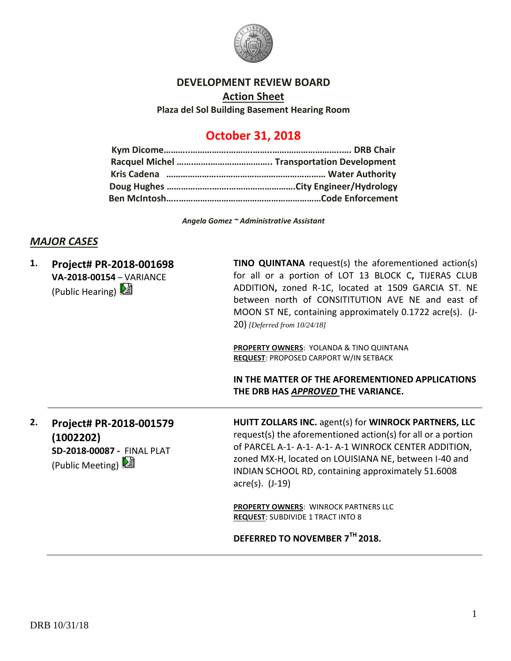

#### **DEVELOPMENT REVIEW BOARD**

**Action Sheet Plaza del Sol Building Basement Hearing Room**

# **October 31, 2018**

*Angela Gomez ~ Administrative Assistant*

# *MAJOR CASES*

| 1. | Project# PR-2018-001698<br>VA-2018-00154 - VARIANCE<br>(Public Hearing)                  | <b>TINO QUINTANA</b> request(s) the aforementioned action(s)<br>for all or a portion of LOT 13 BLOCK C, TIJERAS CLUB<br>ADDITION, zoned R-1C, located at 1509 GARCIA ST. NE<br>between north of CONSITITUTION AVE NE and east of<br>MOON ST NE, containing approximately 0.1722 acre(s). (J-<br><b>20)</b> [Deferred from 10/24/18] |
|----|------------------------------------------------------------------------------------------|-------------------------------------------------------------------------------------------------------------------------------------------------------------------------------------------------------------------------------------------------------------------------------------------------------------------------------------|
|    |                                                                                          | <b>PROPERTY OWNERS: YOLANDA &amp; TINO QUINTANA</b><br>REQUEST: PROPOSED CARPORT W/IN SETBACK                                                                                                                                                                                                                                       |
|    |                                                                                          | IN THE MATTER OF THE AFOREMENTIONED APPLICATIONS<br>THE DRB HAS APPROVED THE VARIANCE.                                                                                                                                                                                                                                              |
| 2. | Project# PR-2018-001579<br>(1002202)<br>SD-2018-00087 - FINAL PLAT<br>(Public Meeting) 2 | HUITT ZOLLARS INC. agent(s) for WINROCK PARTNERS, LLC<br>request(s) the aforementioned action(s) for all or a portion<br>of PARCEL A-1- A-1- A-1- A-1 WINROCK CENTER ADDITION,<br>zoned MX-H, located on LOUISIANA NE, between I-40 and<br>INDIAN SCHOOL RD, containing approximately 51.6008<br>$\arccos(5)$ . (J-19)              |
|    |                                                                                          | PROPERTY OWNERS: WINROCK PARTNERS LLC<br><b>REQUEST: SUBDIVIDE 1 TRACT INTO 8</b>                                                                                                                                                                                                                                                   |
|    |                                                                                          | DEFERRED TO NOVEMBER 7TH 2018.                                                                                                                                                                                                                                                                                                      |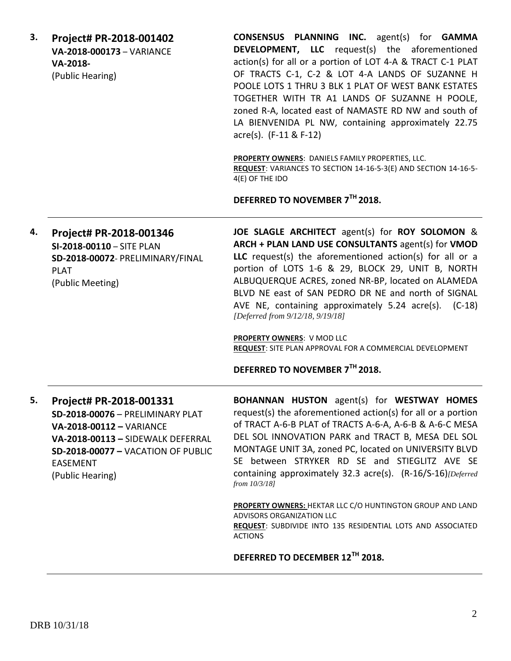**3. Project# PR-2018-001402 VA-2018-000173** – VARIANCE **VA-2018-** (Public Hearing)

**CONSENSUS PLANNING INC.** agent(s) for **GAMMA DEVELOPMENT, LLC** request(s) the aforementioned action(s) for all or a portion of LOT 4-A & TRACT C-1 PLAT OF TRACTS C-1, C-2 & LOT 4-A LANDS OF SUZANNE H POOLE LOTS 1 THRU 3 BLK 1 PLAT OF WEST BANK ESTATES TOGETHER WITH TR A1 LANDS OF SUZANNE H POOLE, zoned R-A, located east of NAMASTE RD NW and south of LA BIENVENIDA PL NW, containing approximately 22.75 acre(s). (F-11 & F-12)

**PROPERTY OWNERS**: DANIELS FAMILY PROPERTIES, LLC. **REQUEST**: VARIANCES TO SECTION 14-16-5-3(E) AND SECTION 14-16-5- 4(E) OF THE IDO

**DEFERRED TO NOVEMBER 7TH 2018.**

**4. Project# PR-2018-001346 SI-2018-00110** – SITE PLAN **SD-2018-00072**- PRELIMINARY/FINAL PLAT (Public Meeting) **JOE SLAGLE ARCHITECT** agent(s) for **ROY SOLOMON** & **ARCH + PLAN LAND USE CONSULTANTS** agent(s) for **VMOD LLC** request(s) the aforementioned action(s) for all or a portion of LOTS 1-6 & 29, BLOCK 29, UNIT B, NORTH ALBUQUERQUE ACRES, zoned NR-BP, located on ALAMEDA BLVD NE east of SAN PEDRO DR NE and north of SIGNAL AVE NE, containing approximately 5.24 acre(s). (C-18) *[Deferred from 9/12/18, 9/19/18]* **PROPERTY OWNERS**: V MOD LLC

**REQUEST**: SITE PLAN APPROVAL FOR A COMMERCIAL DEVELOPMENT

#### **DEFERRED TO NOVEMBER 7TH 2018.**

**5. Project# PR-2018-001331 SD-2018-00076** – PRELIMINARY PLAT **VA-2018-00112 –** VARIANCE **VA-2018-00113 –** SIDEWALK DEFERRAL **SD-2018-00077 –** VACATION OF PUBLIC EASEMENT (Public Hearing)

**BOHANNAN HUSTON** agent(s) for **WESTWAY HOMES** request(s) the aforementioned action(s) for all or a portion of TRACT A-6-B PLAT of TRACTS A-6-A, A-6-B & A-6-C MESA DEL SOL INNOVATION PARK and TRACT B, MESA DEL SOL MONTAGE UNIT 3A, zoned PC, located on UNIVERSITY BLVD SE between STRYKER RD SE and STIEGLITZ AVE SE containing approximately 32.3 acre(s). (R-16/S-16)*[Deferred from 10/3/18]*

**PROPERTY OWNERS:** HEKTAR LLC C/O HUNTINGTON GROUP AND LAND ADVISORS ORGANIZATION LLC **REQUEST**: SUBDIVIDE INTO 135 RESIDENTIAL LOTS AND ASSOCIATED ACTIONS

## **DEFERRED TO DECEMBER 12TH 2018.**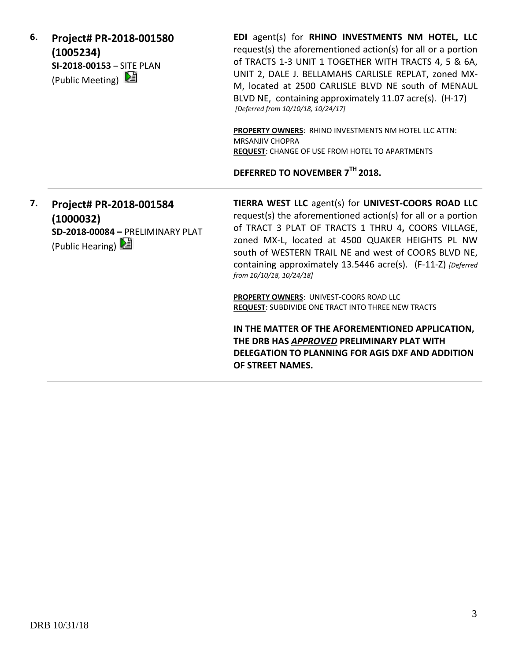**6. Project# PR-2018-001580 (1005234) SI-2018-00153** – SITE PLAN (Public Meeting)  $\mathbb{E}$ 

**EDI** agent(s) for **RHINO INVESTMENTS NM HOTEL, LLC** request(s) the aforementioned action(s) for all or a portion of TRACTS 1-3 UNIT 1 TOGETHER WITH TRACTS 4, 5 & 6A, UNIT 2, DALE J. BELLAMAHS CARLISLE REPLAT, zoned MX-M, located at 2500 CARLISLE BLVD NE south of MENAUL BLVD NE, containing approximately 11.07 acre(s). (H-17) *[Deferred from 10/10/18, 10/24/17]*

**PROPERTY OWNERS**: RHINO INVESTMENTS NM HOTEL LLC ATTN: MRSANJIV CHOPRA **REQUEST**: CHANGE OF USE FROM HOTEL TO APARTMENTS

**DEFERRED TO NOVEMBER 7TH 2018.**

**7. Project# PR-2018-001584 (1000032) SD-2018-00084 –** PRELIMINARY PLAT (Public Hearing)  $\mathbb{E}$ 

**TIERRA WEST LLC** agent(s) for **UNIVEST-COORS ROAD LLC** request(s) the aforementioned action(s) for all or a portion of TRACT 3 PLAT OF TRACTS 1 THRU 4**,** COORS VILLAGE, zoned MX-L, located at 4500 QUAKER HEIGHTS PL NW south of WESTERN TRAIL NE and west of COORS BLVD NE, containing approximately 13.5446 acre(s). (F-11-Z) *[Deferred from 10/10/18, 10/24/18]*

**PROPERTY OWNERS**: UNIVEST-COORS ROAD LLC **REQUEST**: SUBDIVIDE ONE TRACT INTO THREE NEW TRACTS

**IN THE MATTER OF THE AFOREMENTIONED APPLICATION, THE DRB HAS** *APPROVED* **PRELIMINARY PLAT WITH DELEGATION TO PLANNING FOR AGIS DXF AND ADDITION OF STREET NAMES.**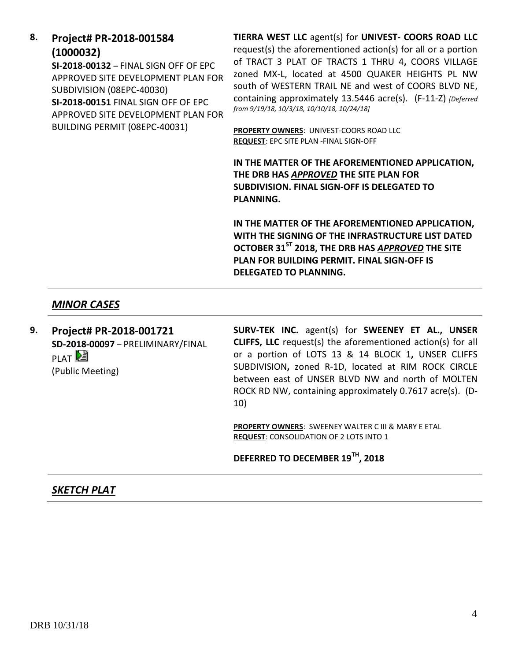**8. Project# PR-2018-001584 (1000032)**

**SI-2018-00132** – FINAL SIGN OFF OF EPC APPROVED SITE DEVELOPMENT PLAN FOR SUBDIVISION (08EPC-40030) **SI-2018-00151** FINAL SIGN OFF OF EPC APPROVED SITE DEVELOPMENT PLAN FOR BUILDING PERMIT (08EPC-40031)

**TIERRA WEST LLC** agent(s) for **UNIVEST- COORS ROAD LLC** request(s) the aforementioned action(s) for all or a portion of TRACT 3 PLAT OF TRACTS 1 THRU 4**,** COORS VILLAGE zoned MX-L, located at 4500 QUAKER HEIGHTS PL NW south of WESTERN TRAIL NE and west of COORS BLVD NE, containing approximately 13.5446 acre(s). (F-11-Z) *[Deferred from 9/19/18, 10/3/18, 10/10/18, 10/24/18]*

**PROPERTY OWNERS**: UNIVEST-COORS ROAD LLC **REQUEST**: EPC SITE PLAN -FINAL SIGN-OFF

**IN THE MATTER OF THE AFOREMENTIONED APPLICATION, THE DRB HAS** *APPROVED* **THE SITE PLAN FOR SUBDIVISION. FINAL SIGN-OFF IS DELEGATED TO PLANNING.**

**IN THE MATTER OF THE AFOREMENTIONED APPLICATION, WITH THE SIGNING OF THE INFRASTRUCTURE LIST DATED OCTOBER 31ST 2018, THE DRB HAS** *APPROVED* **THE SITE PLAN FOR BUILDING PERMIT. FINAL SIGN-OFF IS DELEGATED TO PLANNING.**

### *MINOR CASES*

**9. Project# PR-2018-001721 SD-2018-00097** – PRELIMINARY/FINAL **PLAT** (Public Meeting)

**SURV-TEK INC.** agent(s) for **SWEENEY ET AL., UNSER CLIFFS, LLC** request(s) the aforementioned action(s) for all or a portion of LOTS 13 & 14 BLOCK 1**,** UNSER CLIFFS SUBDIVISION**,** zoned R-1D, located at RIM ROCK CIRCLE between east of UNSER BLVD NW and north of MOLTEN ROCK RD NW, containing approximately 0.7617 acre(s). (D-10)

**PROPERTY OWNERS**: SWEENEY WALTER C III & MARY E ETAL **REQUEST**: CONSOLIDATION OF 2 LOTS INTO 1

### **DEFERRED TO DECEMBER 19TH, 2018**

### *SKETCH PLAT*